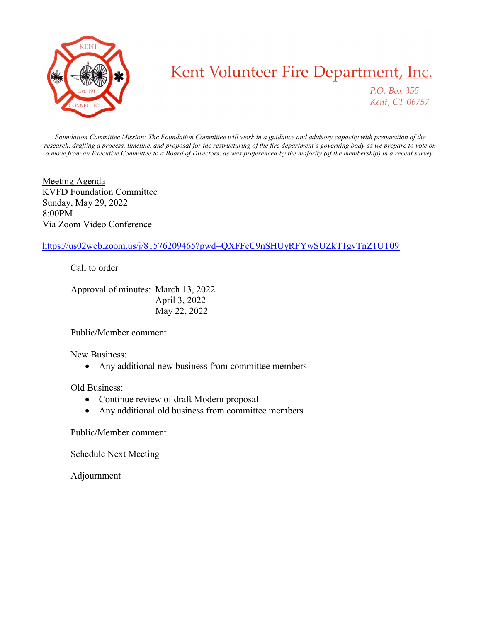

## Kent Volunteer Fire Department, Inc.

P.O. Box 355 Kent, CT 06757

Foundation Committee Mission: The Foundation Committee will work in a guidance and advisory capacity with preparation of the research, drafting a process, timeline, and proposal for the restructuring of the fire department's governing body as we prepare to vote on a move from an Executive Committee to a Board of Directors, as was preferenced by the majority (of the membership) in a recent survey.

Meeting Agenda KVFD Foundation Committee Sunday, May 29, 2022 8:00PM Via Zoom Video Conference

## https://us02web.zoom.us/j/81576209465?pwd=QXFFcC9nSHUyRFYwSUZkT1gvTnZ1UT09

Call to order

 Approval of minutes: March 13, 2022 April 3, 2022 May 22, 2022

Public/Member comment

## New Business:

Any additional new business from committee members

## Old Business:

- Continue review of draft Modern proposal
- Any additional old business from committee members

Public/Member comment

Schedule Next Meeting

Adjournment